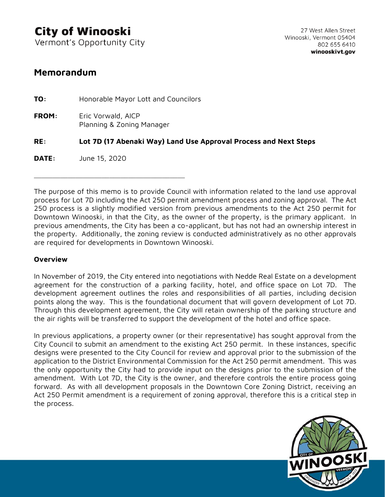Vermont's Opportunity City

\_\_\_\_\_\_\_\_\_\_\_\_\_\_\_\_\_\_\_\_\_\_\_\_\_\_\_\_\_\_\_\_\_\_\_\_\_\_\_\_

## **Memorandum**

**TO:** Honorable Mayor Lott and Councilors **FROM:** Eric Vorwald, AICP Planning & Zoning Manager **RE: Lot 7D (17 Abenaki Way) Land Use Approval Process and Next Steps DATE:** June 15, 2020

The purpose of this memo is to provide Council with information related to the land use approval process for Lot 7D including the Act 250 permit amendment process and zoning approval. The Act 250 process is a slightly modified version from previous amendments to the Act 250 permit for Downtown Winooski, in that the City, as the owner of the property, is the primary applicant. In previous amendments, the City has been a co-applicant, but has not had an ownership interest in the property. Additionally, the zoning review is conducted administratively as no other approvals are required for developments in Downtown Winooski.

## **Overview**

In November of 2019, the City entered into negotiations with Nedde Real Estate on a development agreement for the construction of a parking facility, hotel, and office space on Lot 7D. The development agreement outlines the roles and responsibilities of all parties, including decision points along the way. This is the foundational document that will govern development of Lot 7D. Through this development agreement, the City will retain ownership of the parking structure and the air rights will be transferred to support the development of the hotel and office space.

In previous applications, a property owner (or their representative) has sought approval from the City Council to submit an amendment to the existing Act 250 permit. In these instances, specific designs were presented to the City Council for review and approval prior to the submission of the application to the District Environmental Commission for the Act 250 permit amendment. This was the only opportunity the City had to provide input on the designs prior to the submission of the amendment. With Lot 7D, the City is the owner, and therefore controls the entire process going forward. As with all development proposals in the Downtown Core Zoning District, receiving an Act 250 Permit amendment is a requirement of zoning approval, therefore this is a critical step in the process.